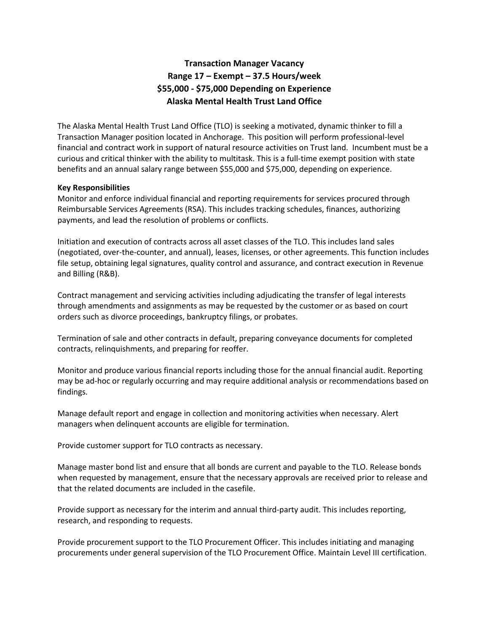# **Transaction Manager Vacancy Range 17 – Exempt – 37.5 Hours/week \$55,000 - \$75,000 Depending on Experience Alaska Mental Health Trust Land Office**

The Alaska Mental Health Trust Land Office (TLO) is seeking a motivated, dynamic thinker to fill a Transaction Manager position located in Anchorage. This position will perform professional-level financial and contract work in support of natural resource activities on Trust land. Incumbent must be a curious and critical thinker with the ability to multitask. This is a full-time exempt position with state benefits and an annual salary range between \$55,000 and \$75,000, depending on experience.

#### **Key Responsibilities**

Monitor and enforce individual financial and reporting requirements for services procured through Reimbursable Services Agreements (RSA). This includes tracking schedules, finances, authorizing payments, and lead the resolution of problems or conflicts.

Initiation and execution of contracts across all asset classes of the TLO. This includes land sales (negotiated, over-the-counter, and annual), leases, licenses, or other agreements. This function includes file setup, obtaining legal signatures, quality control and assurance, and contract execution in Revenue and Billing (R&B).

Contract management and servicing activities including adjudicating the transfer of legal interests through amendments and assignments as may be requested by the customer or as based on court orders such as divorce proceedings, bankruptcy filings, or probates.

Termination of sale and other contracts in default, preparing conveyance documents for completed contracts, relinquishments, and preparing for reoffer.

Monitor and produce various financial reports including those for the annual financial audit. Reporting may be ad-hoc or regularly occurring and may require additional analysis or recommendations based on findings.

Manage default report and engage in collection and monitoring activities when necessary. Alert managers when delinquent accounts are eligible for termination.

Provide customer support for TLO contracts as necessary.

Manage master bond list and ensure that all bonds are current and payable to the TLO. Release bonds when requested by management, ensure that the necessary approvals are received prior to release and that the related documents are included in the casefile.

Provide support as necessary for the interim and annual third-party audit. This includes reporting, research, and responding to requests.

Provide procurement support to the TLO Procurement Officer. This includes initiating and managing procurements under general supervision of the TLO Procurement Office. Maintain Level III certification.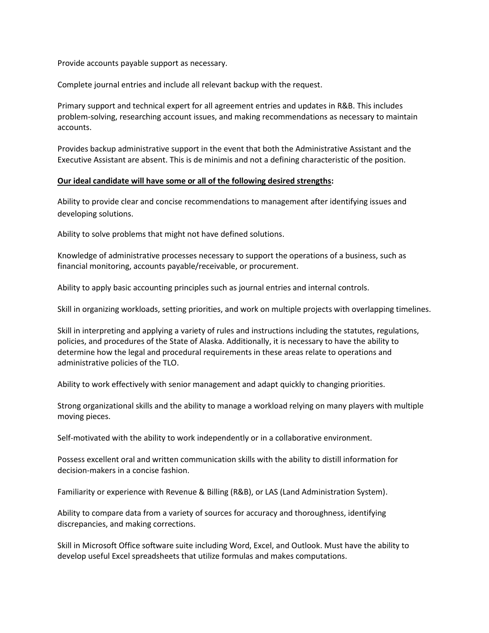Provide accounts payable support as necessary.

Complete journal entries and include all relevant backup with the request.

Primary support and technical expert for all agreement entries and updates in R&B. This includes problem-solving, researching account issues, and making recommendations as necessary to maintain accounts.

Provides backup administrative support in the event that both the Administrative Assistant and the Executive Assistant are absent. This is de minimis and not a defining characteristic of the position.

#### **Our ideal candidate will have some or all of the following desired strengths:**

Ability to provide clear and concise recommendations to management after identifying issues and developing solutions.

Ability to solve problems that might not have defined solutions.

Knowledge of administrative processes necessary to support the operations of a business, such as financial monitoring, accounts payable/receivable, or procurement.

Ability to apply basic accounting principles such as journal entries and internal controls.

Skill in organizing workloads, setting priorities, and work on multiple projects with overlapping timelines.

Skill in interpreting and applying a variety of rules and instructions including the statutes, regulations, policies, and procedures of the State of Alaska. Additionally, it is necessary to have the ability to determine how the legal and procedural requirements in these areas relate to operations and administrative policies of the TLO.

Ability to work effectively with senior management and adapt quickly to changing priorities.

Strong organizational skills and the ability to manage a workload relying on many players with multiple moving pieces.

Self-motivated with the ability to work independently or in a collaborative environment.

Possess excellent oral and written communication skills with the ability to distill information for decision-makers in a concise fashion.

Familiarity or experience with Revenue & Billing (R&B), or LAS (Land Administration System).

Ability to compare data from a variety of sources for accuracy and thoroughness, identifying discrepancies, and making corrections.

Skill in Microsoft Office software suite including Word, Excel, and Outlook. Must have the ability to develop useful Excel spreadsheets that utilize formulas and makes computations.